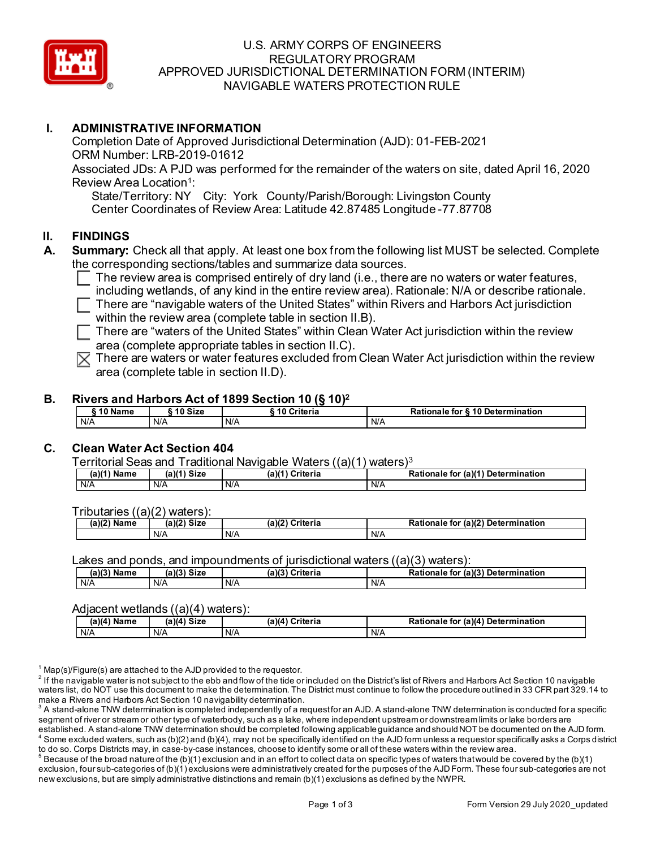

## U.S. ARMY CORPS OF ENGINEERS REGULATORY PROGRAM APPROVED JURISDICTIONAL DETERMINATION FORM (INTERIM) NAVIGABLE WATERS PROTECTION RULE

## **I. ADMINISTRATIVE INFORMATION**

Completion Date of Approved Jurisdictional Determination (AJD): 01-FEB-2021 ORM Number: LRB-2019-01612 Associated JDs: A PJD was performed for the remainder of the waters on site, dated April 16, 2020 Review Area Location<sup>1</sup>:

State/Territory: NY City: York County/Parish/Borough: Livingston County Center Coordinates of Review Area: Latitude 42.87485 Longitude -77.87708

### **II. FINDINGS**

- **A. Summary:** Check all that apply. At least one box from the following list MUST be selected. Complete the corresponding sections/tables and summarize data sources.
	- $\Box$  The review area is comprised entirely of dry land (i.e., there are no waters or water features,
	- including wetlands, of any kind in the entire review area). Rationale: N/A or describe rationale.
	- $\Box$  There are "navigable waters of the United States" within Rivers and Harbors Act jurisdiction within the review area (complete table in section II.B).

 $\Box$  There are "waters of the United States" within Clean Water Act jurisdiction within the review area (complete appropriate tables in section II.C).

 $\mathbb{\nabla}$  There are waters or water features excluded from Clean Water Act jurisdiction within the review area (complete table in section II.D).

#### **B. Rivers and Harbors Act of 1899 Section 10 (§ 10)2**

| ` 10 Name | ົ 10 Size | ` 10 Criteria | Rationale for §10 Determination |
|-----------|-----------|---------------|---------------------------------|
| N/A       | N/A       | N/A           | N/A                             |

# **C. Clean Water Act Section 404**

Territorial Seas and Traditional Navigable Waters ((a)(1) waters)3

| $(a)(1)$ .<br>Name | (a)( <sup>1</sup><br>Siz∈ | (a)(1)<br>Criteria | (a)(1) Determination<br>Rationale<br>tor |
|--------------------|---------------------------|--------------------|------------------------------------------|
| N/A                | N/A                       | N/A                | N/A                                      |

Tributaries ((a)(2) waters):

| (a)(2)<br>Name | $\mathbf{a}$ $\mathbf{v}$<br><b>Size</b><br>ıа<br>и. | ເ)(2)<br>Criteria | (a)(2)<br>.<br>Deterr<br>- - - - -<br>mination<br>া০৷<br>tionale<br>κa |
|----------------|------------------------------------------------------|-------------------|------------------------------------------------------------------------|
|                | N/A                                                  | N/A               | N/A                                                                    |

Lakes and ponds, and impoundments of jurisdictional waters  $((a)(3)$  waters):

| $(a)(3)$ Name | $(a)(3)$ Size | (a)(3)<br>Criteria | Rationale for (a)(3) Determination |
|---------------|---------------|--------------------|------------------------------------|
| N/A           | N/A           | N/A                | N/A                                |

#### Adjacent wetlands ((a)(4) waters):

| (a)(4) Name | `Size<br>(a)(4) | (a)(4) Criteria | (a)(4) Determination<br>Rationale<br>tor |
|-------------|-----------------|-----------------|------------------------------------------|
| N/A         | N/A             | N/A             | N/A                                      |

 $1$  Map(s)/Figure(s) are attached to the AJD provided to the requestor.

 $2$  If the navigable water is not subject to the ebb and flow of the tide or included on the District's list of Rivers and Harbors Act Section 10 navigable waters list, do NOT use this document to make the determination. The District must continue to follow the procedure outlined in 33 CFR part 329.14 to make a Rivers and Harbors Act Section 10 navigability determination.

<sup>3</sup> A stand-alone TNW determination is completed independently of a request for an AJD. A stand-alone TNW determination is conducted for a specific segment of river or stream or other type of waterbody, such as a lake, where independent upstream or downstream limits or lake borders are established. A stand-alone TNW determination should be completed following applicable guidance and should NOT be documented on the AJD form.

 $^4$  Some excluded waters, such as (b)(2) and (b)(4), may not be specifically identified on the AJD form unless a requestor specifically asks a Corps district to do so. Corps Districts may, in case-by-case instances, choose to identify some or all of these waters within the review area.

 $^5$  Because of the broad nature of the (b)(1) exclusion and in an effort to collect data on specific types of waters that would be covered by the (b)(1) exclusion, four sub-categories of (b)(1) exclusions were administratively created for the purposes of the AJD Form. These four sub-categories are not new exclusions, but are simply administrative distinctions and remain (b)(1) exclusions as defined by the NWPR.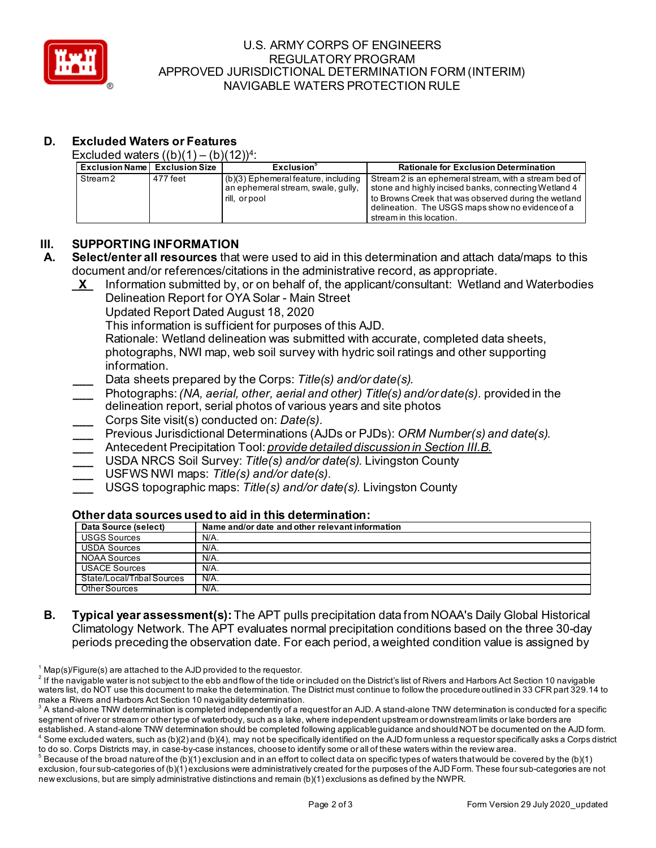

## U.S. ARMY CORPS OF ENGINEERS REGULATORY PROGRAM APPROVED JURISDICTIONAL DETERMINATION FORM (INTERIM) NAVIGABLE WATERS PROTECTION RULE

# **D. Excluded Waters or Features**

Excluded waters  $((b)(1) - (b)(12))^4$ :

| <b>Exclusion Name Exclusion Size</b> |          | Exclusion <sup>3</sup>                | <b>Rationale for Exclusion Determination</b>          |
|--------------------------------------|----------|---------------------------------------|-------------------------------------------------------|
| Stream 2                             | 477 feet | $(b)(3)$ Ephemeral feature, including | Stream 2 is an ephemeral stream, with a stream bed of |
|                                      |          | an ephemeral stream, swale, gully,    | stone and highly incised banks, connecting Wetland 4  |
|                                      |          | rill, or pool                         | to Browns Creek that was observed during the wetland  |
|                                      |          |                                       | delineation. The USGS maps show no evidence of a      |
|                                      |          |                                       | stream in this location.                              |

# **III. SUPPORTING INFORMATION**

- **A. Select/enter all resources** that were used to aid in this determination and attach data/maps to this document and/or references/citations in the administrative record, as appropriate.
	- **\_X\_** Information submitted by, or on behalf of, the applicant/consultant: Wetland and Waterbodies Delineation Report for OYA Solar - Main Street

Updated Report Dated August 18, 2020

This information is sufficient for purposes of this AJD.

Rationale: Wetland delineation was submitted with accurate, completed data sheets, photographs, NWI map, web soil survey with hydric soil ratings and other supporting information.

- **\_\_\_** Data sheets prepared by the Corps: *Title(s) and/or date(s).*
- **\_\_\_** Photographs:*(NA, aerial, other, aerial and other) Title(s) and/or date(s).* provided in the delineation report, serial photos of various years and site photos
- **\_\_\_** Corps Site visit(s) conducted on: *Date(s).*
- **\_\_\_** Previous Jurisdictional Determinations (AJDs or PJDs): *ORM Number(s) and date(s).*
- **\_\_\_** Antecedent Precipitation Tool: *provide detailed discussion in Section III.B.*
- **\_\_\_** USDA NRCS Soil Survey: *Title(s) and/or date(s).* Livingston County
- **\_\_\_** USFWS NWI maps: *Title(s) and/or date(s).*
- **\_\_\_** USGS topographic maps: *Title(s) and/or date(s).* Livingston County

#### **Other data sources used to aid in this determination:**

| Data Source (select)       | Name and/or date and other relevant information |
|----------------------------|-------------------------------------------------|
| <b>USGS Sources</b>        | $N/A$ .                                         |
| <b>USDA Sources</b>        | N/A.                                            |
| <b>NOAA Sources</b>        | N/A.                                            |
| <b>USACE Sources</b>       | N/A.                                            |
| State/Local/Tribal Sources | N/A.                                            |
| Other Sources              | N/A.                                            |

**B. Typical year assessment(s):** The APT pulls precipitation data from NOAA's Daily Global Historical Climatology Network. The APT evaluates normal precipitation conditions based on the three 30-day periods preceding the observation date. For each period, a weighted condition value is assigned by

 $1$  Map(s)/Figure(s) are attached to the AJD provided to the requestor.

 $2$  If the navigable water is not subject to the ebb and flow of the tide or included on the District's list of Rivers and Harbors Act Section 10 navigable waters list, do NOT use this document to make the determination. The District must continue to follow the procedure outlined in 33 CFR part 329.14 to make a Rivers and Harbors Act Section 10 navigability determination.

 $^{\rm 3}$  A stand-alone TNW determination is completed independently of a request for an AJD. A stand-alone TNW determination is conducted for a specific segment of river or stream or other type of waterbody, such as a lake, where independent upstream or downstream limits or lake borders are established. A stand-alone TNW determination should be completed following applicable guidance and should NOT be documented on the AJD form.

 $^4$  Some excluded waters, such as (b)(2) and (b)(4), may not be specifically identified on the AJD form unless a requestor specifically asks a Corps district to do so. Corps Districts may, in case-by-case instances, choose to identify some or all of these waters within the review area.

 $^5$  Because of the broad nature of the (b)(1) exclusion and in an effort to collect data on specific types of waters that would be covered by the (b)(1) exclusion, four sub-categories of (b)(1) exclusions were administratively created for the purposes of the AJD Form. These four sub-categories are not new exclusions, but are simply administrative distinctions and remain (b)(1) exclusions as defined by the NWPR.